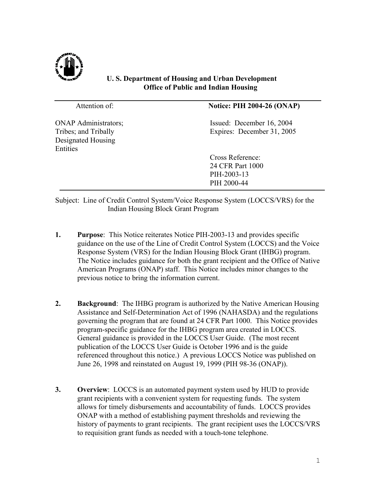

## **U. S. Department of Housing and Urban Development Office of Public and Indian Housing**

| Attention of:                                                                         | <b>Notice: PIH 2004-26 (ONAP)</b>                                  |
|---------------------------------------------------------------------------------------|--------------------------------------------------------------------|
| <b>ONAP Administrators;</b><br>Tribes; and Tribally<br>Designated Housing<br>Entities | Issued: December 16, 2004<br>Expires: December 31, 2005            |
|                                                                                       | Cross Reference:<br>24 CFR Part 1000<br>PIH-2003-13<br>PIH 2000-44 |
|                                                                                       |                                                                    |

Subject: Line of Credit Control System/Voice Response System (LOCCS/VRS) for the Indian Housing Block Grant Program

- **1. Purpose**: This Notice reiterates Notice PIH-2003-13 and provides specific guidance on the use of the Line of Credit Control System (LOCCS) and the Voice Response System (VRS) for the Indian Housing Block Grant (IHBG) program. The Notice includes guidance for both the grant recipient and the Office of Native American Programs (ONAP) staff. This Notice includes minor changes to the previous notice to bring the information current.
- **2. Background**: The IHBG program is authorized by the Native American Housing Assistance and Self-Determination Act of 1996 (NAHASDA) and the regulations governing the program that are found at 24 CFR Part 1000. This Notice provides program-specific guidance for the IHBG program area created in LOCCS. General guidance is provided in the LOCCS User Guide. (The most recent publication of the LOCCS User Guide is October 1996 and is the guide referenced throughout this notice.) A previous LOCCS Notice was published on June 26, 1998 and reinstated on August 19, 1999 (PIH 98-36 (ONAP)).
- **3.** Overview: LOCCS is an automated payment system used by HUD to provide grant recipients with a convenient system for requesting funds. The system allows for timely disbursements and accountability of funds. LOCCS provides ONAP with a method of establishing payment thresholds and reviewing the history of payments to grant recipients. The grant recipient uses the LOCCS/VRS to requisition grant funds as needed with a touch-tone telephone.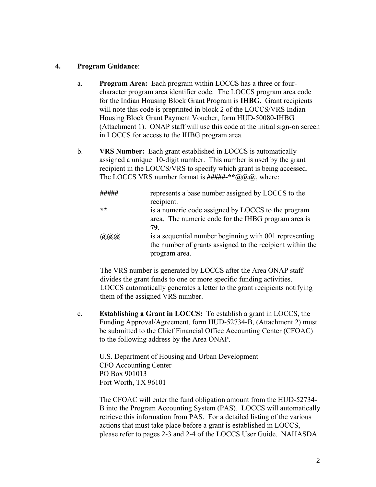## **4. Program Guidance**:

- a. **Program Area:** Each program within LOCCS has a three or fourcharacter program area identifier code. The LOCCS program area code for the Indian Housing Block Grant Program is **IHBG**. Grant recipients will note this code is preprinted in block 2 of the LOCCS/VRS Indian Housing Block Grant Payment Voucher, form HUD-50080-IHBG (Attachment 1). ONAP staff will use this code at the initial sign-on screen in LOCCS for access to the IHBG program area.
- b. **VRS Number:** Each grant established in LOCCS is automatically assigned a unique 10-digit number. This number is used by the grant recipient in the LOCCS/VRS to specify which grant is being accessed. The LOCCS VRS number format is **#####-\*\*@@@**, where:

|           | represents a base number assigned by LOCCS to the<br>recipient.                                                                      |
|-----------|--------------------------------------------------------------------------------------------------------------------------------------|
| **        | is a numeric code assigned by LOCCS to the program<br>area. The numeric code for the IHBG program area is<br>79                      |
| (a)(a)(a) | is a sequential number beginning with 001 representing<br>the number of grants assigned to the recipient within the<br>program area. |

The VRS number is generated by LOCCS after the Area ONAP staff divides the grant funds to one or more specific funding activities. LOCCS automatically generates a letter to the grant recipients notifying them of the assigned VRS number.

c. **Establishing a Grant in LOCCS:** To establish a grant in LOCCS, the Funding Approval/Agreement, form HUD-52734-B, (Attachment 2) must be submitted to the Chief Financial Office Accounting Center (CFOAC) to the following address by the Area ONAP.

U.S. Department of Housing and Urban Development CFO Accounting Center PO Box 901013 Fort Worth, TX 96101

The CFOAC will enter the fund obligation amount from the HUD-52734- B into the Program Accounting System (PAS). LOCCS will automatically retrieve this information from PAS. For a detailed listing of the various actions that must take place before a grant is established in LOCCS, please refer to pages 2-3 and 2-4 of the LOCCS User Guide. NAHASDA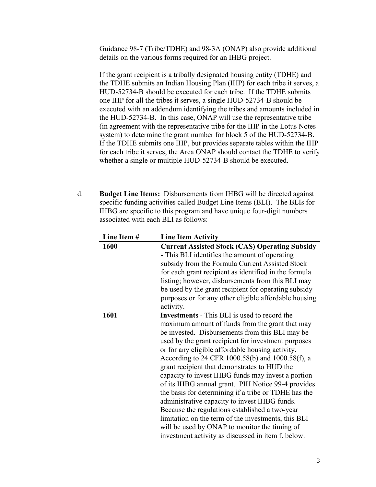Guidance 98-7 (Tribe/TDHE) and 98-3A (ONAP) also provide additional details on the various forms required for an IHBG project.

If the grant recipient is a tribally designated housing entity (TDHE) and the TDHE submits an Indian Housing Plan (IHP) for each tribe it serves, a HUD-52734-B should be executed for each tribe. If the TDHE submits one IHP for all the tribes it serves, a single HUD-52734-B should be executed with an addendum identifying the tribes and amounts included in the HUD-52734-B. In this case, ONAP will use the representative tribe (in agreement with the representative tribe for the IHP in the Lotus Notes system) to determine the grant number for block 5 of the HUD-52734-B. If the TDHE submits one IHP, but provides separate tables within the IHP for each tribe it serves, the Area ONAP should contact the TDHE to verify whether a single or multiple HUD-52734-B should be executed.

d. **Budget Line Items:** Disbursements from IHBG will be directed against specific funding activities called Budget Line Items (BLI). The BLIs for IHBG are specific to this program and have unique four-digit numbers associated with each BLI as follows:

| Line Item # | <b>Line Item Activity</b>                                          |
|-------------|--------------------------------------------------------------------|
| 1600        | <b>Current Assisted Stock (CAS) Operating Subsidy</b>              |
|             | - This BLI identifies the amount of operating                      |
|             | subsidy from the Formula Current Assisted Stock                    |
|             | for each grant recipient as identified in the formula              |
|             | listing; however, disbursements from this BLI may                  |
|             | be used by the grant recipient for operating subsidy               |
|             | purposes or for any other eligible affordable housing<br>activity. |
| 1601        | Investments - This BLI is used to record the                       |
|             | maximum amount of funds from the grant that may                    |
|             | be invested. Disbursements from this BLI may be                    |
|             | used by the grant recipient for investment purposes                |
|             | or for any eligible affordable housing activity.                   |
|             | According to 24 CFR 1000.58(b) and 1000.58(f), a                   |
|             | grant recipient that demonstrates to HUD the                       |
|             | capacity to invest IHBG funds may invest a portion                 |
|             | of its IHBG annual grant. PIH Notice 99-4 provides                 |
|             | the basis for determining if a tribe or TDHE has the               |
|             | administrative capacity to invest IHBG funds.                      |
|             | Because the regulations established a two-year                     |
|             | limitation on the term of the investments, this BLI                |
|             | will be used by ONAP to monitor the timing of                      |
|             | investment activity as discussed in item f. below.                 |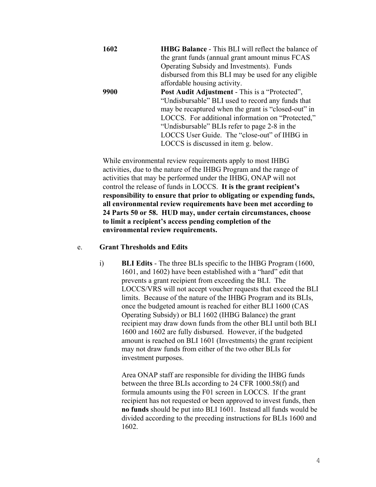| 1602 | <b>IHBG Balance - This BLI will reflect the balance of</b> |
|------|------------------------------------------------------------|
|      | the grant funds (annual grant amount minus FCAS            |
|      | Operating Subsidy and Investments). Funds                  |
|      | disbursed from this BLI may be used for any eligible       |
|      | affordable housing activity.                               |
| 9900 | <b>Post Audit Adjustment - This is a "Protected",</b>      |
|      | "Undisbursable" BLI used to record any funds that          |
|      | may be recaptured when the grant is "closed-out" in        |
|      | LOCCS. For additional information on "Protected,"          |
|      | "Undisbursable" BLIs refer to page 2-8 in the              |
|      | LOCCS User Guide. The "close-out" of IHBG in               |
|      | LOCCS is discussed in item g. below.                       |

While environmental review requirements apply to most IHBG activities, due to the nature of the IHBG Program and the range of activities that may be performed under the IHBG, ONAP will not control the release of funds in LOCCS. **It is the grant recipient's responsibility to ensure that prior to obligating or expending funds, all environmental review requirements have been met according to 24 Parts 50 or 58. HUD may, under certain circumstances, choose to limit a recipient's access pending completion of the environmental review requirements.** 

## e. **Grant Thresholds and Edits**

i) **BLI Edits** - The three BLIs specific to the IHBG Program (1600, 1601, and 1602) have been established with a "hard" edit that prevents a grant recipient from exceeding the BLI. The LOCCS/VRS will not accept voucher requests that exceed the BLI limits. Because of the nature of the IHBG Program and its BLIs, once the budgeted amount is reached for either BLI 1600 (CAS Operating Subsidy) or BLI 1602 (IHBG Balance) the grant recipient may draw down funds from the other BLI until both BLI 1600 and 1602 are fully disbursed. However, if the budgeted amount is reached on BLI 1601 (Investments) the grant recipient may not draw funds from either of the two other BLIs for investment purposes.

> Area ONAP staff are responsible for dividing the IHBG funds between the three BLIs according to 24 CFR 1000.58(f) and formula amounts using the F01 screen in LOCCS. If the grant recipient has not requested or been approved to invest funds, then **no funds** should be put into BLI 1601. Instead all funds would be divided according to the preceding instructions for BLIs 1600 and 1602.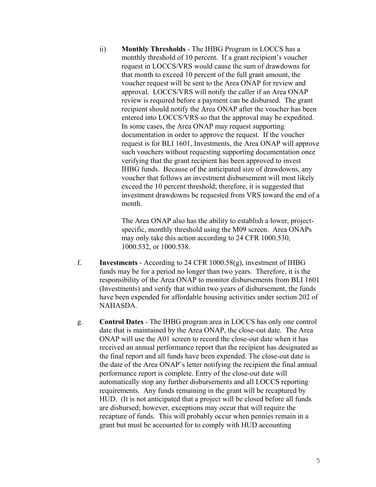ii) **Monthly Thresholds** - The IHBG Program in LOCCS has a monthly threshold of 10 percent. If a grant recipient's voucher request in LOCCS/VRS would cause the sum of drawdowns for that month to exceed 10 percent of the full grant amount, the voucher request will be sent to the Area ONAP for review and approval. LOCCS/VRS will notify the caller if an Area ONAP review is required before a payment can be disbursed. The grant recipient should notify the Area ONAP after the voucher has been entered into LOCCS/VRS so that the approval may be expedited. In some cases, the Area ONAP may request supporting documentation in order to approve the request. If the voucher request is for BLI 1601, Investments, the Area ONAP will approve such vouchers without requesting supporting documentation once verifying that the grant recipient has been approved to invest IHBG funds. Because of the anticipated size of drawdowns, any voucher that follows an investment disbursement will most likely exceed the 10 percent threshold; therefore, it is suggested that investment drawdowns be requested from VRS toward the end of a month.

> The Area ONAP also has the ability to establish a lower, projectspecific, monthly threshold using the M09 screen. Area ONAPs may only take this action according to 24 CFR 1000.530, 1000.532, or 1000.538.

- f. **Investments** According to 24 CFR 1000.58(g), investment of IHBG funds may be for a period no longer than two years. Therefore, it is the responsibility of the Area ONAP to monitor disbursements from BLI 1601 (Investments) and verify that within two years of disbursement, the funds have been expended for affordable housing activities under section 202 of NAHASDA.
- g. **Control Dates** The IHBG program area in LOCCS has only one control date that is maintained by the Area ONAP, the close-out date. The Area ONAP will use the A01 screen to record the close-out date when it has received an annual performance report that the recipient has designated as the final report and all funds have been expended. The close-out date is the date of the Area ONAP's letter notifying the recipient the final annual performance report is complete. Entry of the close-out date will automatically stop any further disbursements and all LOCCS reporting requirements. Any funds remaining in the grant will be recaptured by HUD. (It is not anticipated that a project will be closed before all funds are disbursed; however, exceptions may occur that will require the recapture of funds. This will probably occur when pennies remain in a grant but must be accounted for to comply with HUD accounting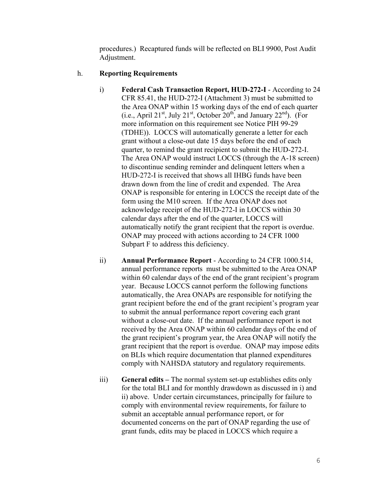procedures.) Recaptured funds will be reflected on BLI 9900, Post Audit Adjustment.

## h. **Reporting Requirements**

- i) **Federal Cash Transaction Report, HUD-272-I**  According to 24 CFR 85.41, the HUD-272-I (Attachment 3) must be submitted to the Area ONAP within 15 working days of the end of each quarter (i.e., April 21<sup>st</sup>, July 21<sup>st</sup>, October 20<sup>th</sup>, and January 22<sup>nd</sup>). (For more information on this requirement see Notice PIH 99-29 (TDHE)). LOCCS will automatically generate a letter for each grant without a close-out date 15 days before the end of each quarter, to remind the grant recipient to submit the HUD-272-I. The Area ONAP would instruct LOCCS (through the A-18 screen) to discontinue sending reminder and delinquent letters when a HUD-272-I is received that shows all IHBG funds have been drawn down from the line of credit and expended. The Area ONAP is responsible for entering in LOCCS the receipt date of the form using the M10 screen. If the Area ONAP does not acknowledge receipt of the HUD-272-I in LOCCS within 30 calendar days after the end of the quarter, LOCCS will automatically notify the grant recipient that the report is overdue. ONAP may proceed with actions according to 24 CFR 1000 Subpart F to address this deficiency.
- ii) **Annual Performance Report** According to 24 CFR 1000.514, annual performance reports must be submitted to the Area ONAP within 60 calendar days of the end of the grant recipient's program year. Because LOCCS cannot perform the following functions automatically, the Area ONAPs are responsible for notifying the grant recipient before the end of the grant recipient's program year to submit the annual performance report covering each grant without a close-out date. If the annual performance report is not received by the Area ONAP within 60 calendar days of the end of the grant recipient's program year, the Area ONAP will notify the grant recipient that the report is overdue. ONAP may impose edits on BLIs which require documentation that planned expenditures comply with NAHSDA statutory and regulatory requirements.
- iii) **General edits** The normal system set-up establishes edits only for the total BLI and for monthly drawdown as discussed in i) and ii) above. Under certain circumstances, principally for failure to comply with environmental review requirements, for failure to submit an acceptable annual performance report, or for documented concerns on the part of ONAP regarding the use of grant funds, edits may be placed in LOCCS which require a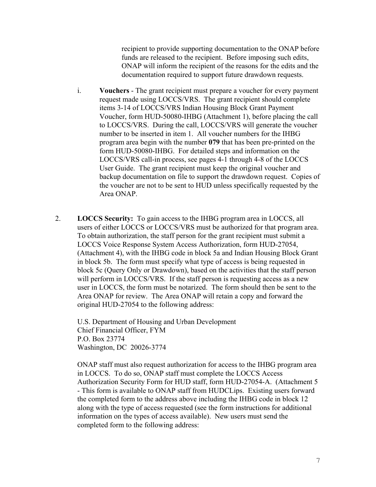recipient to provide supporting documentation to the ONAP before funds are released to the recipient. Before imposing such edits, ONAP will inform the recipient of the reasons for the edits and the documentation required to support future drawdown requests.

- i. **Vouchers** The grant recipient must prepare a voucher for every payment request made using LOCCS/VRS. The grant recipient should complete items 3-14 of LOCCS/VRS Indian Housing Block Grant Payment Voucher, form HUD-50080-IHBG (Attachment 1), before placing the call to LOCCS/VRS. During the call, LOCCS/VRS will generate the voucher number to be inserted in item 1. All voucher numbers for the IHBG program area begin with the number **079** that has been pre-printed on the form HUD-50080-IHBG. For detailed steps and information on the LOCCS/VRS call-in process, see pages 4-1 through 4-8 of the LOCCS User Guide. The grant recipient must keep the original voucher and backup documentation on file to support the drawdown request. Copies of the voucher are not to be sent to HUD unless specifically requested by the Area ONAP.
- 2. **LOCCS Security:** To gain access to the IHBG program area in LOCCS, all users of either LOCCS or LOCCS/VRS must be authorized for that program area. To obtain authorization, the staff person for the grant recipient must submit a LOCCS Voice Response System Access Authorization, form HUD-27054, (Attachment 4), with the IHBG code in block 5a and Indian Housing Block Grant in block 5b. The form must specify what type of access is being requested in block 5c (Query Only or Drawdown), based on the activities that the staff person will perform in LOCCS/VRS. If the staff person is requesting access as a new user in LOCCS, the form must be notarized. The form should then be sent to the Area ONAP for review. The Area ONAP will retain a copy and forward the original HUD-27054 to the following address:

U.S. Department of Housing and Urban Development Chief Financial Officer, FYM P.O. Box 23774 Washington, DC 20026-3774

ONAP staff must also request authorization for access to the IHBG program area in LOCCS. To do so, ONAP staff must complete the LOCCS Access Authorization Security Form for HUD staff, form HUD-27054-A. (Attachment 5 - This form is available to ONAP staff from HUDCLips. Existing users forward the completed form to the address above including the IHBG code in block 12 along with the type of access requested (see the form instructions for additional information on the types of access available). New users must send the completed form to the following address: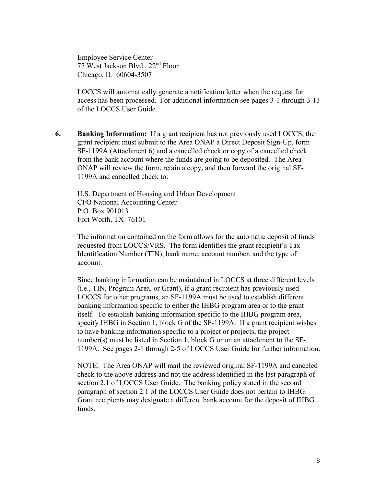Employee Service Center 77 West Jackson Blvd., 22<sup>nd</sup> Floor Chicago, IL 60604-3507

LOCCS will automatically generate a notification letter when the request for access has been processed. For additional information see pages 3-1 through 3-13 of the LOCCS User Guide.

**6. Banking Information:** If a grant recipient has not previously used LOCCS, the grant recipient must submit to the Area ONAP a Direct Deposit Sign-Up, form SF-1199A (Attachment 6) and a cancelled check or copy of a cancelled check from the bank account where the funds are going to be deposited. The Area ONAP will review the form, retain a copy, and then forward the original SF-1199A and cancelled check to:

U.S. Department of Housing and Urban Development CFO National Accounting Center P.O. Box 901013 Fort Worth, TX 76101

The information contained on the form allows for the automatic deposit of funds requested from LOCCS/VRS. The form identifies the grant recipient's Tax Identification Number (TIN), bank name, account number, and the type of account.

Since banking information can be maintained in LOCCS at three different levels (i.e., TIN, Program Area, or Grant), if a grant recipient has previously used LOCCS for other programs, an SF-1199A must be used to establish different banking information specific to either the IHBG program area or to the grant itself. To establish banking information specific to the IHBG program area, specify IHBG in Section 1, block G of the SF-1199A. If a grant recipient wishes to have banking information specific to a project or projects, the project number(s) must be listed in Section 1, block G or on an attachment to the SF-1199A. See pages 2-1 through 2-5 of LOCCS User Guide for further information.

NOTE: The Area ONAP will mail the reviewed original SF-1199A and canceled check to the above address and not the address identified in the last paragraph of section 2.1 of LOCCS User Guide. The banking policy stated in the second paragraph of section 2.1 of the LOCCS User Guide does not pertain to IHBG. Grant recipients may designate a different bank account for the deposit of IHBG funds.